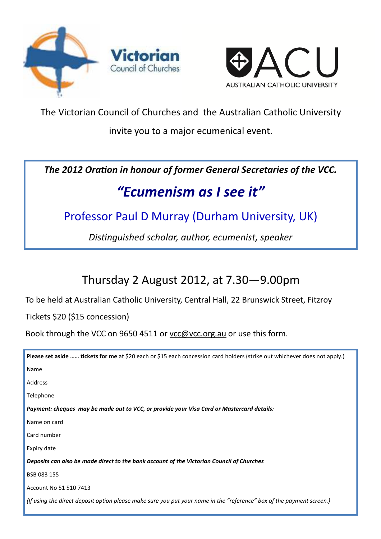



The Victorian Council of Churches and the Australian Catholic University

invite you to a major ecumenical event.

The 2012 Oration in honour of former General Secretaries of the VCC.

# "Ecumenism as I see it"

### Professor Paul D Murray (Durham University, UK)

Distinguished scholar, author, ecumenist, speaker

## Thursday 2 August 2012, at 7.30—9.00pm

To be held at Australian Catholic University, Central Hall, 22 Brunswick Street, Fitzroy

Tickets \$20 (\$15 concession)

Book through the VCC on 9650 4511 or vcc@vcc.org.au or use this form.

| Please set aside  tickets for me at \$20 each or \$15 each concession card holders (strike out whichever does not apply.) |
|---------------------------------------------------------------------------------------------------------------------------|
| Name                                                                                                                      |
| Address                                                                                                                   |
| Telephone                                                                                                                 |
| Payment: cheques may be made out to VCC, or provide your Visa Card or Mastercard details:                                 |
| Name on card                                                                                                              |
| Card number                                                                                                               |
| Expiry date                                                                                                               |
| Deposits can also be made direct to the bank account of the Victorian Council of Churches                                 |
| BSB 083 155                                                                                                               |
| Account No 51 510 7413                                                                                                    |
| (If using the direct deposit option please make sure you put your name in the "reference" box of the payment screen.)     |
|                                                                                                                           |